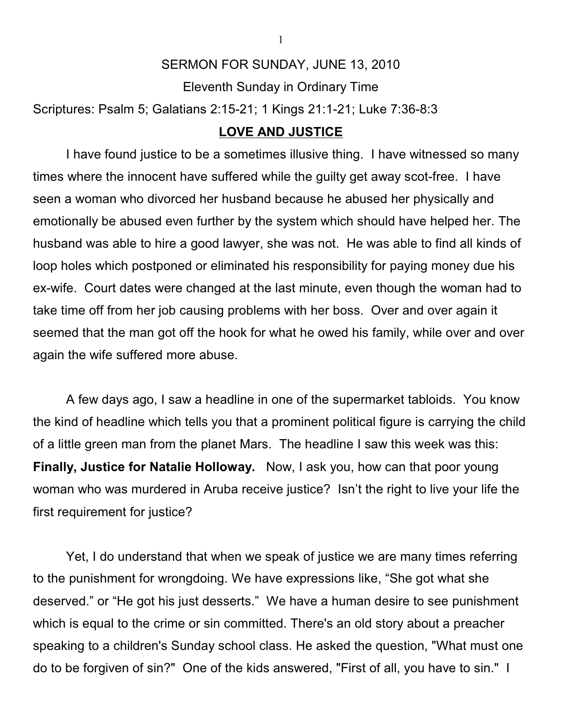## SERMON FOR SUNDAY, JUNE 13, 2010

Eleventh Sunday in Ordinary Time

Scriptures: Psalm 5; Galatians 2:15-21; 1 Kings 21:1-21; Luke 7:36-8:3

## **LOVE AND JUSTICE**

I have found justice to be a sometimes illusive thing. I have witnessed so many times where the innocent have suffered while the guilty get away scot-free. I have seen a woman who divorced her husband because he abused her physically and emotionally be abused even further by the system which should have helped her. The husband was able to hire a good lawyer, she was not. He was able to find all kinds of loop holes which postponed or eliminated his responsibility for paying money due his ex-wife. Court dates were changed at the last minute, even though the woman had to take time off from her job causing problems with her boss. Over and over again it seemed that the man got off the hook for what he owed his family, while over and over again the wife suffered more abuse.

A few days ago, I saw a headline in one of the supermarket tabloids. You know the kind of headline which tells you that a prominent political figure is carrying the child of a little green man from the planet Mars. The headline I saw this week was this: **Finally, Justice for Natalie Holloway.** Now, I ask you, how can that poor young woman who was murdered in Aruba receive justice? Isn't the right to live your life the first requirement for justice?

Yet, I do understand that when we speak of justice we are many times referring to the punishment for wrongdoing. We have expressions like, "She got what she deserved." or "He got his just desserts." We have a human desire to see punishment which is equal to the crime or sin committed. There's an old story about a preacher speaking to a children's Sunday school class. He asked the question, "What must one do to be forgiven of sin?" One of the kids answered, "First of all, you have to sin." I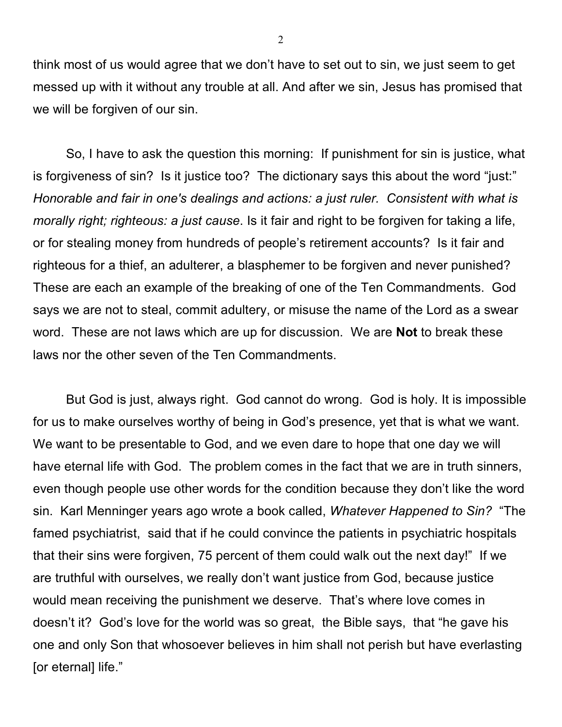think most of us would agree that we don't have to set out to sin, we just seem to get messed up with it without any trouble at all. And after we sin, Jesus has promised that we will be forgiven of our sin.

So, I have to ask the question this morning: If punishment for sin is justice, what is forgiveness of sin? Is it justice too? The dictionary says this about the word "just:" *Honorable and fair in one's dealings and actions: a just ruler. Consistent with what is morally right; righteous: a just cause*. Is it fair and right to be forgiven for taking a life, or for stealing money from hundreds of people's retirement accounts? Is it fair and righteous for a thief, an adulterer, a blasphemer to be forgiven and never punished? These are each an example of the breaking of one of the Ten Commandments. God says we are not to steal, commit adultery, or misuse the name of the Lord as a swear word. These are not laws which are up for discussion. We are **Not** to break these laws nor the other seven of the Ten Commandments.

But God is just, always right. God cannot do wrong. God is holy. It is impossible for us to make ourselves worthy of being in God's presence, yet that is what we want. We want to be presentable to God, and we even dare to hope that one day we will have eternal life with God. The problem comes in the fact that we are in truth sinners, even though people use other words for the condition because they don't like the word sin. Karl Menninger years ago wrote a book called, *Whatever Happened to Sin?* "The famed psychiatrist, said that if he could convince the patients in psychiatric hospitals that their sins were forgiven, 75 percent of them could walk out the next day!" If we are truthful with ourselves, we really don't want justice from God, because justice would mean receiving the punishment we deserve. That's where love comes in doesn't it? God's love for the world was so great, the Bible says, that "he gave his one and only Son that whosoever believes in him shall not perish but have everlasting [or eternal] life."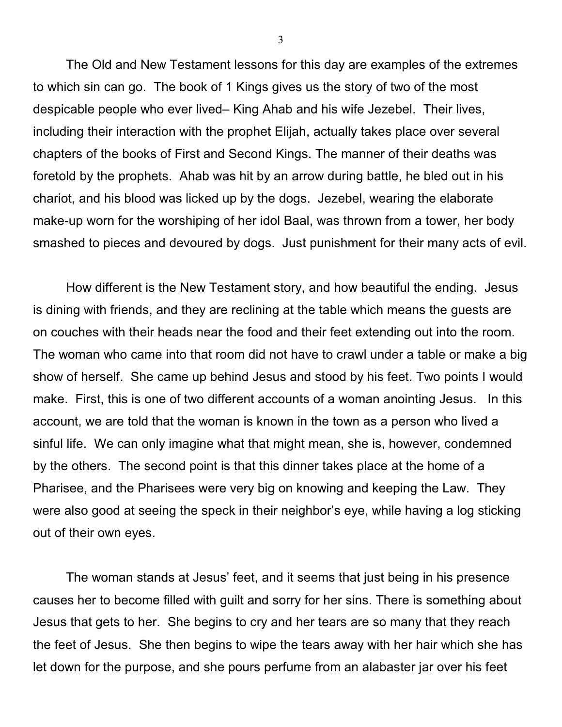The Old and New Testament lessons for this day are examples of the extremes to which sin can go. The book of 1 Kings gives us the story of two of the most despicable people who ever lived– King Ahab and his wife Jezebel. Their lives, including their interaction with the prophet Elijah, actually takes place over several chapters of the books of First and Second Kings. The manner of their deaths was foretold by the prophets. Ahab was hit by an arrow during battle, he bled out in his chariot, and his blood was licked up by the dogs. Jezebel, wearing the elaborate make-up worn for the worshiping of her idol Baal, was thrown from a tower, her body smashed to pieces and devoured by dogs. Just punishment for their many acts of evil.

How different is the New Testament story, and how beautiful the ending. Jesus is dining with friends, and they are reclining at the table which means the guests are on couches with their heads near the food and their feet extending out into the room. The woman who came into that room did not have to crawl under a table or make a big show of herself. She came up behind Jesus and stood by his feet. Two points I would make. First, this is one of two different accounts of a woman anointing Jesus. In this account, we are told that the woman is known in the town as a person who lived a sinful life. We can only imagine what that might mean, she is, however, condemned by the others. The second point is that this dinner takes place at the home of a Pharisee, and the Pharisees were very big on knowing and keeping the Law. They were also good at seeing the speck in their neighbor's eye, while having a log sticking out of their own eyes.

The woman stands at Jesus' feet, and it seems that just being in his presence causes her to become filled with guilt and sorry for her sins. There is something about Jesus that gets to her. She begins to cry and her tears are so many that they reach the feet of Jesus. She then begins to wipe the tears away with her hair which she has let down for the purpose, and she pours perfume from an alabaster jar over his feet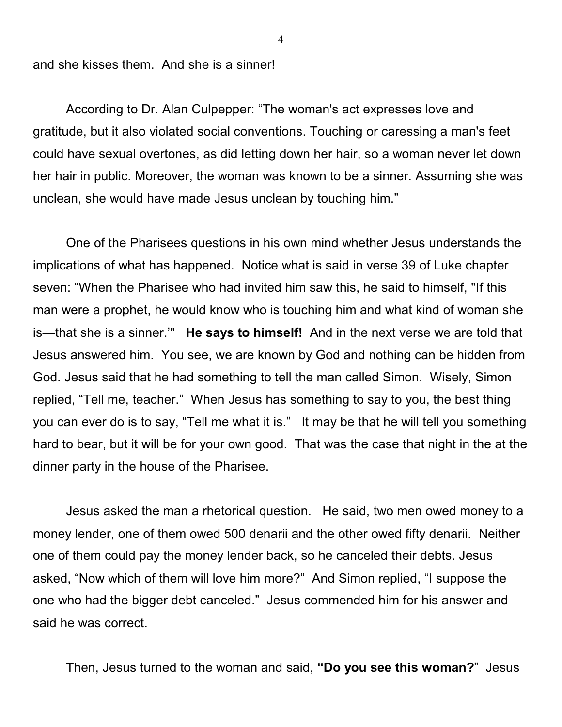and she kisses them. And she is a sinner!

According to Dr. Alan Culpepper: "The woman's act expresses love and gratitude, but it also violated social conventions. Touching or caressing a man's feet could have sexual overtones, as did letting down her hair, so a woman never let down her hair in public. Moreover, the woman was known to be a sinner. Assuming she was unclean, she would have made Jesus unclean by touching him."

One of the Pharisees questions in his own mind whether Jesus understands the implications of what has happened. Notice what is said in verse 39 of Luke chapter seven: "When the Pharisee who had invited him saw this, he said to himself, "If this man were a prophet, he would know who is touching him and what kind of woman she is—that she is a sinner.'" **He says to himself!** And in the next verse we are told that Jesus answered him. You see, we are known by God and nothing can be hidden from God. Jesus said that he had something to tell the man called Simon. Wisely, Simon replied, "Tell me, teacher." When Jesus has something to say to you, the best thing you can ever do is to say, "Tell me what it is." It may be that he will tell you something hard to bear, but it will be for your own good. That was the case that night in the at the dinner party in the house of the Pharisee.

Jesus asked the man a rhetorical question. He said, two men owed money to a money lender, one of them owed 500 denarii and the other owed fifty denarii. Neither one of them could pay the money lender back, so he canceled their debts. Jesus asked, "Now which of them will love him more?" And Simon replied, "I suppose the one who had the bigger debt canceled." Jesus commended him for his answer and said he was correct.

Then, Jesus turned to the woman and said, **"Do you see this woman?**" Jesus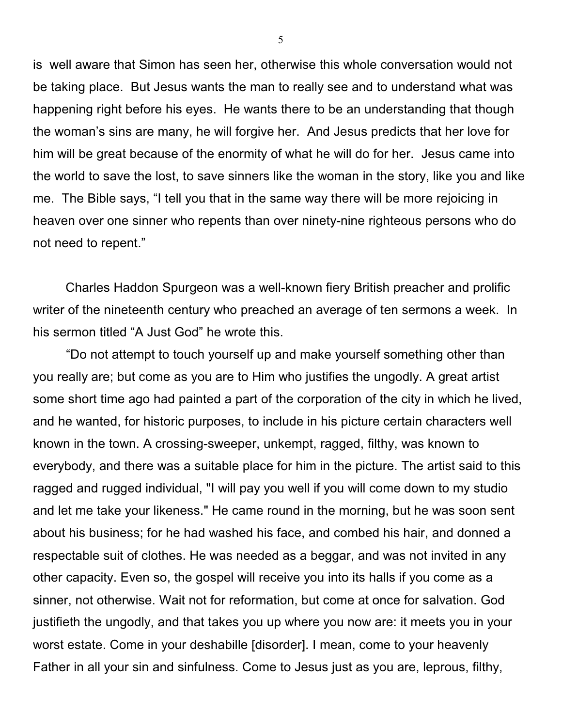is well aware that Simon has seen her, otherwise this whole conversation would not be taking place. But Jesus wants the man to really see and to understand what was happening right before his eyes. He wants there to be an understanding that though the woman's sins are many, he will forgive her. And Jesus predicts that her love for him will be great because of the enormity of what he will do for her. Jesus came into the world to save the lost, to save sinners like the woman in the story, like you and like me. The Bible says, "I tell you that in the same way there will be more rejoicing in heaven over one sinner who repents than over ninety-nine righteous persons who do not need to repent."

 Charles Haddon Spurgeon was a well-known fiery British preacher and prolific writer of the nineteenth century who preached an average of ten sermons a week. In his sermon titled "A Just God" he wrote this.

"Do not attempt to touch yourself up and make yourself something other than you really are; but come as you are to Him who justifies the ungodly. A great artist some short time ago had painted a part of the corporation of the city in which he lived, and he wanted, for historic purposes, to include in his picture certain characters well known in the town. A crossing-sweeper, unkempt, ragged, filthy, was known to everybody, and there was a suitable place for him in the picture. The artist said to this ragged and rugged individual, "I will pay you well if you will come down to my studio and let me take your likeness." He came round in the morning, but he was soon sent about his business; for he had washed his face, and combed his hair, and donned a respectable suit of clothes. He was needed as a beggar, and was not invited in any other capacity. Even so, the gospel will receive you into its halls if you come as a sinner, not otherwise. Wait not for reformation, but come at once for salvation. God justifieth the ungodly, and that takes you up where you now are: it meets you in your worst estate. Come in your deshabille [disorder]. I mean, come to your heavenly Father in all your sin and sinfulness. Come to Jesus just as you are, leprous, filthy,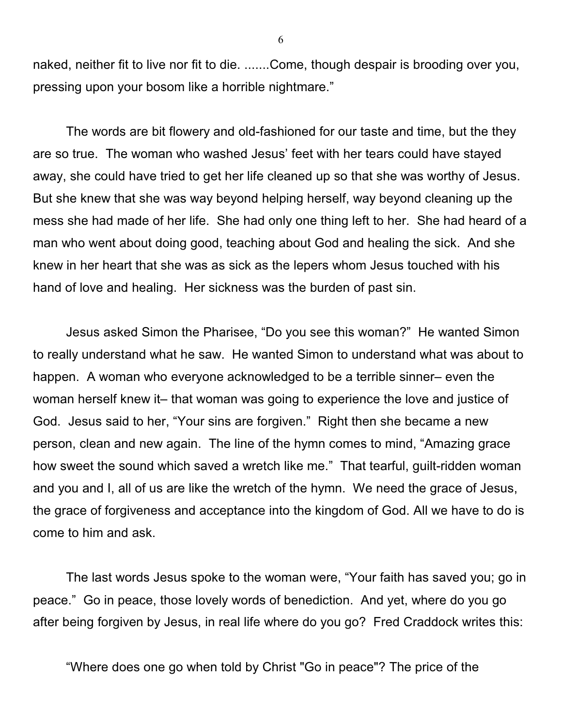naked, neither fit to live nor fit to die. .......Come, though despair is brooding over you, pressing upon your bosom like a horrible nightmare."

The words are bit flowery and old-fashioned for our taste and time, but the they are so true. The woman who washed Jesus' feet with her tears could have stayed away, she could have tried to get her life cleaned up so that she was worthy of Jesus. But she knew that she was way beyond helping herself, way beyond cleaning up the mess she had made of her life. She had only one thing left to her. She had heard of a man who went about doing good, teaching about God and healing the sick. And she knew in her heart that she was as sick as the lepers whom Jesus touched with his hand of love and healing. Her sickness was the burden of past sin.

Jesus asked Simon the Pharisee, "Do you see this woman?" He wanted Simon to really understand what he saw. He wanted Simon to understand what was about to happen. A woman who everyone acknowledged to be a terrible sinner– even the woman herself knew it– that woman was going to experience the love and justice of God. Jesus said to her, "Your sins are forgiven." Right then she became a new person, clean and new again. The line of the hymn comes to mind, "Amazing grace how sweet the sound which saved a wretch like me." That tearful, guilt-ridden woman and you and I, all of us are like the wretch of the hymn. We need the grace of Jesus, the grace of forgiveness and acceptance into the kingdom of God. All we have to do is come to him and ask.

The last words Jesus spoke to the woman were, "Your faith has saved you; go in peace." Go in peace, those lovely words of benediction. And yet, where do you go after being forgiven by Jesus, in real life where do you go? Fred Craddock writes this:

"Where does one go when told by Christ "Go in peace"? The price of the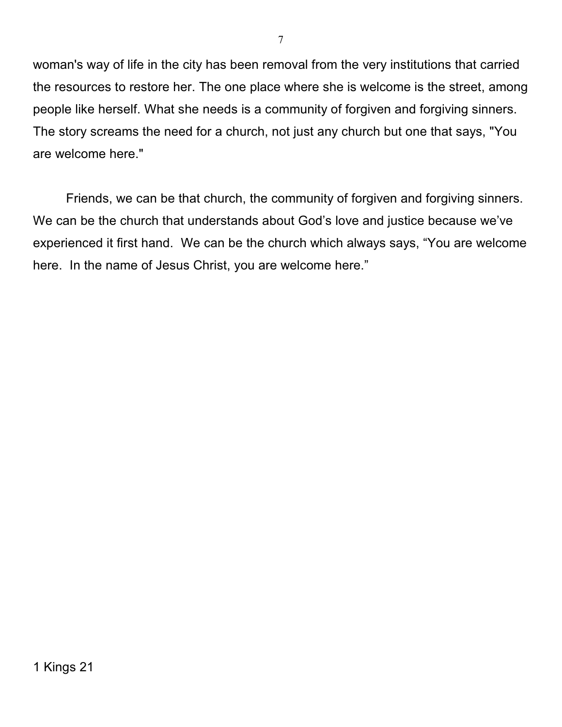woman's way of life in the city has been removal from the very institutions that carried the resources to restore her. The one place where she is welcome is the street, among people like herself. What she needs is a community of forgiven and forgiving sinners. The story screams the need for a church, not just any church but one that says, "You are welcome here."

Friends, we can be that church, the community of forgiven and forgiving sinners. We can be the church that understands about God's love and justice because we've experienced it first hand. We can be the church which always says, "You are welcome here. In the name of Jesus Christ, you are welcome here."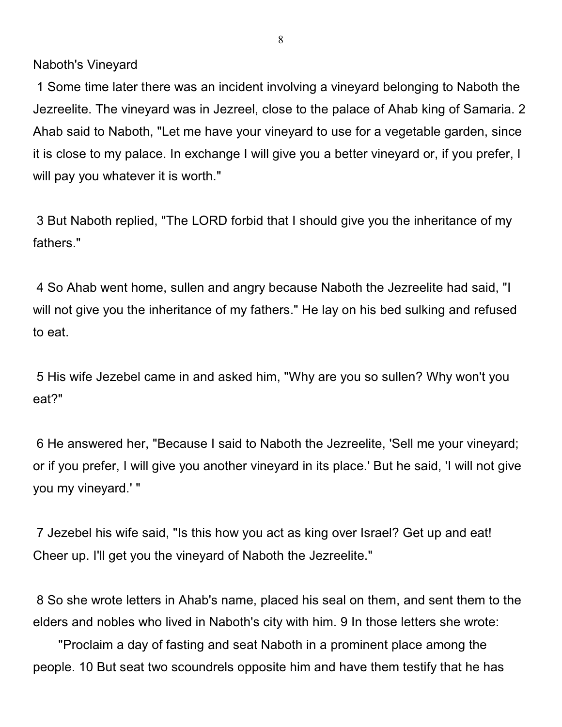Naboth's Vineyard

 1 Some time later there was an incident involving a vineyard belonging to Naboth the Jezreelite. The vineyard was in Jezreel, close to the palace of Ahab king of Samaria. 2 Ahab said to Naboth, "Let me have your vineyard to use for a vegetable garden, since it is close to my palace. In exchange I will give you a better vineyard or, if you prefer, I will pay you whatever it is worth."

 3 But Naboth replied, "The LORD forbid that I should give you the inheritance of my fathers."

 4 So Ahab went home, sullen and angry because Naboth the Jezreelite had said, "I will not give you the inheritance of my fathers." He lay on his bed sulking and refused to eat.

 5 His wife Jezebel came in and asked him, "Why are you so sullen? Why won't you eat?"

 6 He answered her, "Because I said to Naboth the Jezreelite, 'Sell me your vineyard; or if you prefer, I will give you another vineyard in its place.' But he said, 'I will not give you my vineyard.' "

 7 Jezebel his wife said, "Is this how you act as king over Israel? Get up and eat! Cheer up. I'll get you the vineyard of Naboth the Jezreelite."

 8 So she wrote letters in Ahab's name, placed his seal on them, and sent them to the elders and nobles who lived in Naboth's city with him. 9 In those letters she wrote:

 "Proclaim a day of fasting and seat Naboth in a prominent place among the people. 10 But seat two scoundrels opposite him and have them testify that he has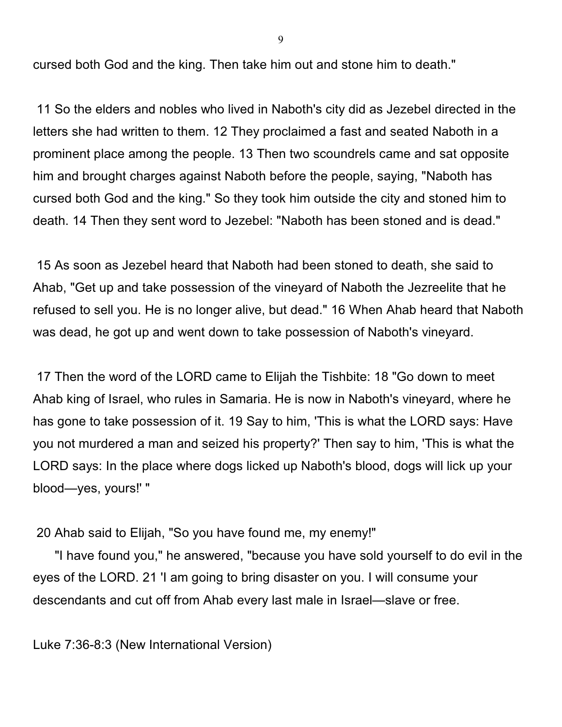cursed both God and the king. Then take him out and stone him to death."

 11 So the elders and nobles who lived in Naboth's city did as Jezebel directed in the letters she had written to them. 12 They proclaimed a fast and seated Naboth in a prominent place among the people. 13 Then two scoundrels came and sat opposite him and brought charges against Naboth before the people, saying, "Naboth has cursed both God and the king." So they took him outside the city and stoned him to death. 14 Then they sent word to Jezebel: "Naboth has been stoned and is dead."

 15 As soon as Jezebel heard that Naboth had been stoned to death, she said to Ahab, "Get up and take possession of the vineyard of Naboth the Jezreelite that he refused to sell you. He is no longer alive, but dead." 16 When Ahab heard that Naboth was dead, he got up and went down to take possession of Naboth's vineyard.

 17 Then the word of the LORD came to Elijah the Tishbite: 18 "Go down to meet Ahab king of Israel, who rules in Samaria. He is now in Naboth's vineyard, where he has gone to take possession of it. 19 Say to him, 'This is what the LORD says: Have you not murdered a man and seized his property?' Then say to him, 'This is what the LORD says: In the place where dogs licked up Naboth's blood, dogs will lick up your blood—yes, yours!' "

20 Ahab said to Elijah, "So you have found me, my enemy!"

 "I have found you," he answered, "because you have sold yourself to do evil in the eyes of the LORD. 21 'I am going to bring disaster on you. I will consume your descendants and cut off from Ahab every last male in Israel—slave or free.

Luke 7:36-8:3 (New International Version)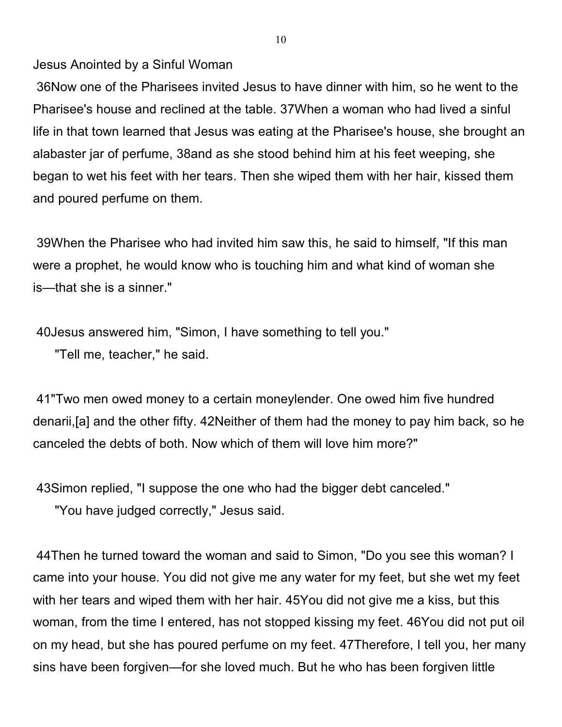## Jesus Anointed by a Sinful Woman

 36Now one of the Pharisees invited Jesus to have dinner with him, so he went to the Pharisee's house and reclined at the table. 37When a woman who had lived a sinful life in that town learned that Jesus was eating at the Pharisee's house, she brought an alabaster jar of perfume, 38and as she stood behind him at his feet weeping, she began to wet his feet with her tears. Then she wiped them with her hair, kissed them and poured perfume on them.

 39When the Pharisee who had invited him saw this, he said to himself, "If this man were a prophet, he would know who is touching him and what kind of woman she is—that she is a sinner."

 40Jesus answered him, "Simon, I have something to tell you." "Tell me, teacher," he said.

 41"Two men owed money to a certain moneylender. One owed him five hundred denarii,[a] and the other fifty. 42Neither of them had the money to pay him back, so he canceled the debts of both. Now which of them will love him more?"

43Simon replied, "I suppose the one who had the bigger debt canceled."

"You have judged correctly," Jesus said.

 44Then he turned toward the woman and said to Simon, "Do you see this woman? I came into your house. You did not give me any water for my feet, but she wet my feet with her tears and wiped them with her hair. 45You did not give me a kiss, but this woman, from the time I entered, has not stopped kissing my feet. 46You did not put oil on my head, but she has poured perfume on my feet. 47Therefore, I tell you, her many sins have been forgiven—for she loved much. But he who has been forgiven little